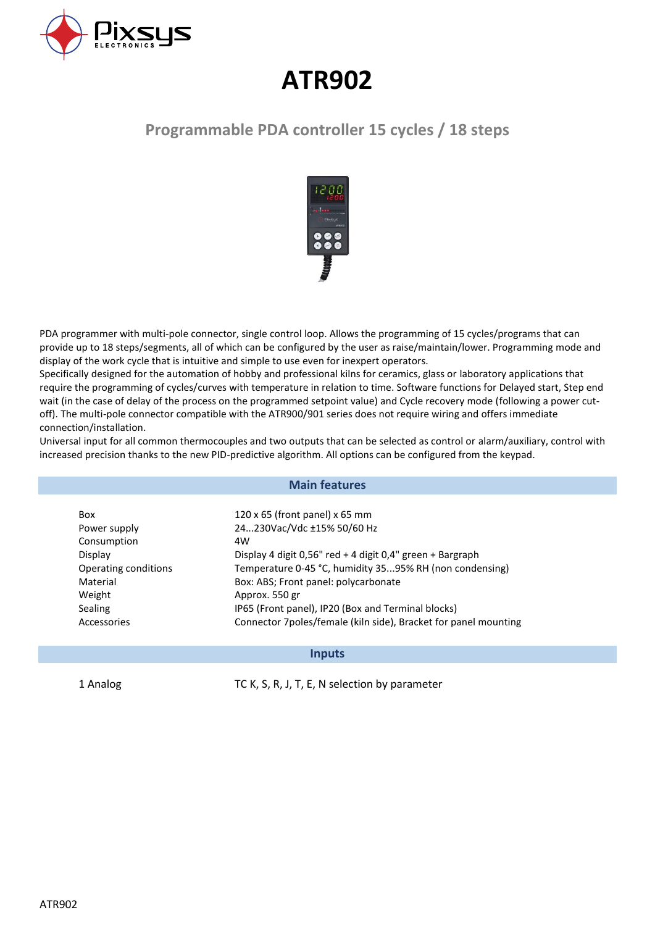

# **ATR902**

# **Programmable PDA controller 15 cycles / 18 steps**



PDA programmer with multi-pole connector, single control loop. Allows the programming of 15 cycles/programs that can provide up to 18 steps/segments, all of which can be configured by the user as raise/maintain/lower. Programming mode and display of the work cycle that is intuitive and simple to use even for inexpert operators.

Specifically designed for the automation of hobby and professional kilns for ceramics, glass or laboratory applications that require the programming of cycles/curves with temperature in relation to time. Software functions for Delayed start, Step end wait (in the case of delay of the process on the programmed setpoint value) and Cycle recovery mode (following a power cutoff). The multi-pole connector compatible with the ATR900/901 series does not require wiring and offers immediate connection/installation.

Universal input for all common thermocouples and two outputs that can be selected as control or alarm/auxiliary, control with increased precision thanks to the new PID-predictive algorithm. All options can be configured from the keypad.

#### **Main features**

| <b>Box</b>           | 120 x 65 (front panel) x 65 mm                                  |
|----------------------|-----------------------------------------------------------------|
| Power supply         | 24230Vac/Vdc ±15% 50/60 Hz                                      |
| Consumption          | 4W                                                              |
| Display              | Display 4 digit 0,56" red + 4 digit 0,4" green + Bargraph       |
| Operating conditions | Temperature 0-45 °C, humidity 3595% RH (non condensing)         |
| Material             | Box: ABS; Front panel: polycarbonate                            |
| Weight               | Approx. 550 gr                                                  |
| Sealing              | IP65 (Front panel), IP20 (Box and Terminal blocks)              |
| Accessories          | Connector 7poles/female (kiln side), Bracket for panel mounting |
|                      |                                                                 |

#### **Inputs**

1 Analog TC K, S, R, J, T, E, N selection by parameter